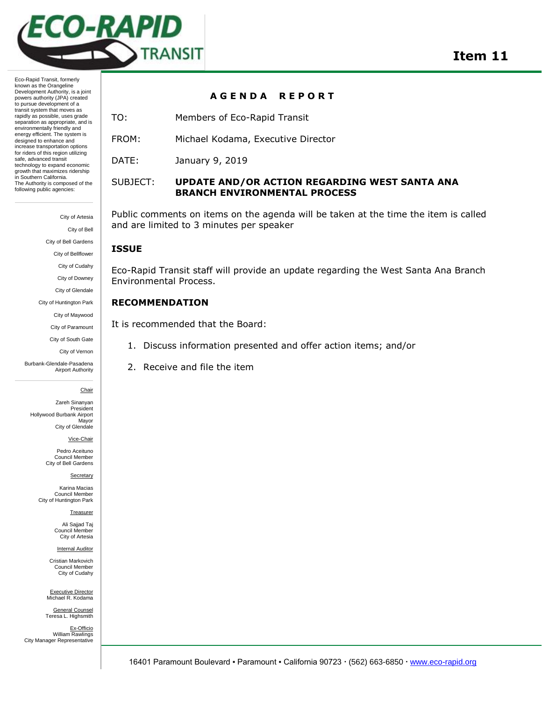

Eco-Rapid Transit, formerly known as the Orangeline Development Authority, is a joint powers authority (JPA) created to pursue development of a transit system that moves as rapidly as possible, uses grade separation as appropriate, and is environmentally friendly and energy efficient. The system is designed to enhance and increase transportation options for riders of this region utilizing safe, advanced transit technology to expand economic growth that maximizes ridership in Southern California. The Authority is composed of the following public agencies:

> City of Artesia City of Bell City of Bell Gardens City of Bellflower City of Cudahy City of Downey City of Glendale City of Huntington Park City of Maywood City of Paramount City of South Gate

> > City of Vernon

Burbank-Glendale-Pasadena Airport Authority

Chair

Zareh Sinanyan President Hollywood Burbank Airport Mayor City of Glendale

Vice-Chair

Pedro Aceituno Council Member City of Bell Gardens

**Secretary** 

Karina Macias Council Member City of Huntington Park

Treasurer

Ali Sajjad Taj Council Member City of Artesia

Internal Auditor

Cristian Markovich Council Member City of Cudahy

Executive Director Michael R. Kodama General Counsel

Teresa L. Highsmith Ex-Officio William Rawlings City Manager Representative

### **A G E N D A R E P O R T**

- TO: Members of Eco-Rapid Transit
- FROM: Michael Kodama, Executive Director
- DATE: January 9, 2019

## SUBJECT: **UPDATE AND/OR ACTION REGARDING WEST SANTA ANA BRANCH ENVIRONMENTAL PROCESS**

Public comments on items on the agenda will be taken at the time the item is called and are limited to 3 minutes per speaker

### **ISSUE**

Eco-Rapid Transit staff will provide an update regarding the West Santa Ana Branch Environmental Process.

### **RECOMMENDATION**

It is recommended that the Board:

- 1. Discuss information presented and offer action items; and/or
- 2. Receive and file the item